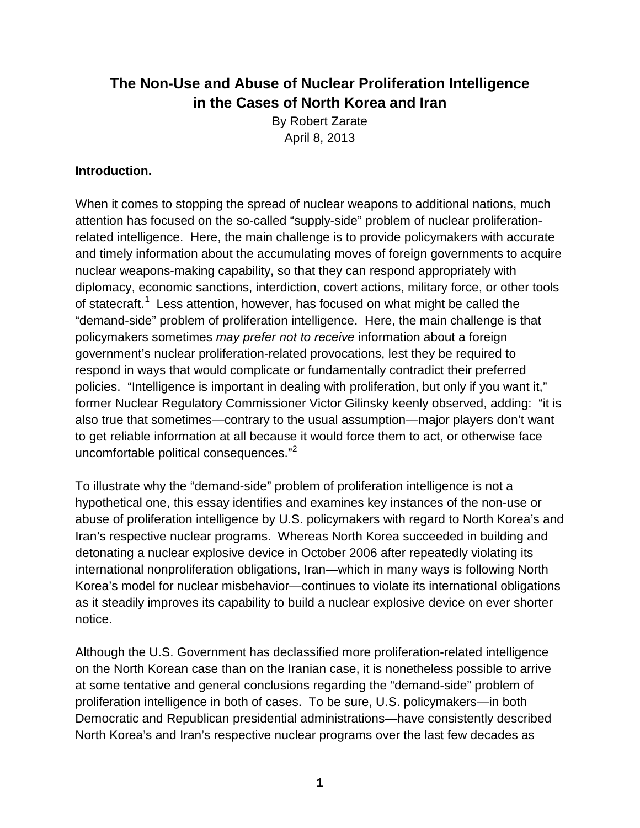# **The Non-Use and Abuse of Nuclear Proliferation Intelligence in the Cases of North Korea and Iran**

By Robert Zarate April 8, 2013

### **Introduction.**

When it comes to stopping the spread of nuclear weapons to additional nations, much attention has focused on the so-called "supply-side" problem of nuclear proliferationrelated intelligence. Here, the main challenge is to provide policymakers with accurate and timely information about the accumulating moves of foreign governments to acquire nuclear weapons-making capability, so that they can respond appropriately with diplomacy, economic sanctions, interdiction, covert actions, military force, or other tools of statecraft.<sup>[1](#page-19-0)</sup> Less attention, however, has focused on what might be called the "demand-side" problem of proliferation intelligence. Here, the main challenge is that policymakers sometimes *may prefer not to receive* information about a foreign government's nuclear proliferation-related provocations, lest they be required to respond in ways that would complicate or fundamentally contradict their preferred policies. "Intelligence is important in dealing with proliferation, but only if you want it," former Nuclear Regulatory Commissioner Victor Gilinsky keenly observed, adding: "it is also true that sometimes—contrary to the usual assumption—major players don't want to get reliable information at all because it would force them to act, or otherwise face uncomfortable political consequences."<sup>[2](#page-19-1)</sup>

To illustrate why the "demand-side" problem of proliferation intelligence is not a hypothetical one, this essay identifies and examines key instances of the non-use or abuse of proliferation intelligence by U.S. policymakers with regard to North Korea's and Iran's respective nuclear programs. Whereas North Korea succeeded in building and detonating a nuclear explosive device in October 2006 after repeatedly violating its international nonproliferation obligations, Iran—which in many ways is following North Korea's model for nuclear misbehavior—continues to violate its international obligations as it steadily improves its capability to build a nuclear explosive device on ever shorter notice.

Although the U.S. Government has declassified more proliferation-related intelligence on the North Korean case than on the Iranian case, it is nonetheless possible to arrive at some tentative and general conclusions regarding the "demand-side" problem of proliferation intelligence in both of cases. To be sure, U.S. policymakers—in both Democratic and Republican presidential administrations—have consistently described North Korea's and Iran's respective nuclear programs over the last few decades as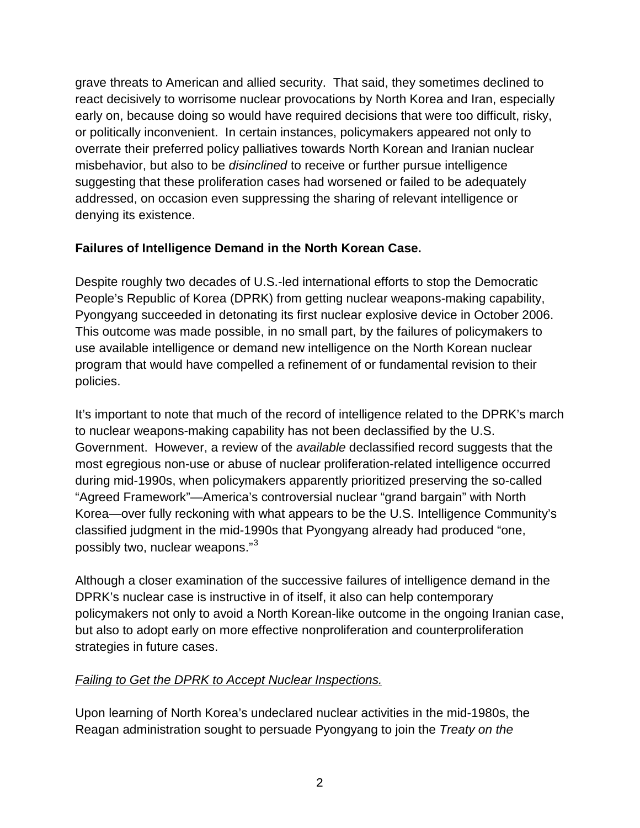grave threats to American and allied security. That said, they sometimes declined to react decisively to worrisome nuclear provocations by North Korea and Iran, especially early on, because doing so would have required decisions that were too difficult, risky, or politically inconvenient. In certain instances, policymakers appeared not only to overrate their preferred policy palliatives towards North Korean and Iranian nuclear misbehavior, but also to be *disinclined* to receive or further pursue intelligence suggesting that these proliferation cases had worsened or failed to be adequately addressed, on occasion even suppressing the sharing of relevant intelligence or denying its existence.

## **Failures of Intelligence Demand in the North Korean Case.**

Despite roughly two decades of U.S.-led international efforts to stop the Democratic People's Republic of Korea (DPRK) from getting nuclear weapons-making capability, Pyongyang succeeded in detonating its first nuclear explosive device in October 2006. This outcome was made possible, in no small part, by the failures of policymakers to use available intelligence or demand new intelligence on the North Korean nuclear program that would have compelled a refinement of or fundamental revision to their policies.

It's important to note that much of the record of intelligence related to the DPRK's march to nuclear weapons-making capability has not been declassified by the U.S. Government. However, a review of the *available* declassified record suggests that the most egregious non-use or abuse of nuclear proliferation-related intelligence occurred during mid-1990s, when policymakers apparently prioritized preserving the so-called "Agreed Framework"—America's controversial nuclear "grand bargain" with North Korea—over fully reckoning with what appears to be the U.S. Intelligence Community's classified judgment in the mid-1990s that Pyongyang already had produced "one, possibly two, nuclear weapons."<sup>[3](#page-19-2)</sup>

Although a closer examination of the successive failures of intelligence demand in the DPRK's nuclear case is instructive in of itself, it also can help contemporary policymakers not only to avoid a North Korean-like outcome in the ongoing Iranian case, but also to adopt early on more effective nonproliferation and counterproliferation strategies in future cases.

## *Failing to Get the DPRK to Accept Nuclear Inspections.*

Upon learning of North Korea's undeclared nuclear activities in the mid-1980s, the Reagan administration sought to persuade Pyongyang to join the *Treaty on the*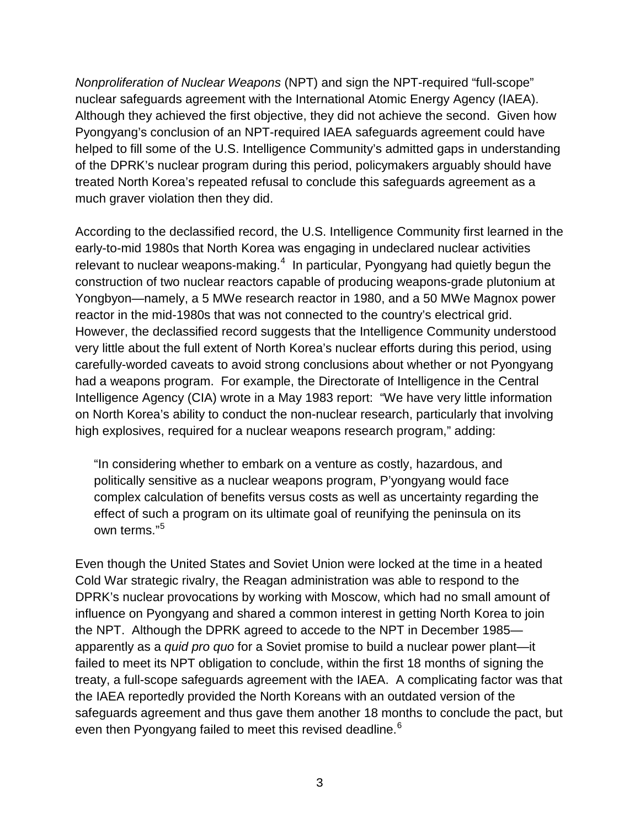*Nonproliferation of Nuclear Weapons* (NPT) and sign the NPT-required "full-scope" nuclear safeguards agreement with the International Atomic Energy Agency (IAEA). Although they achieved the first objective, they did not achieve the second. Given how Pyongyang's conclusion of an NPT-required IAEA safeguards agreement could have helped to fill some of the U.S. Intelligence Community's admitted gaps in understanding of the DPRK's nuclear program during this period, policymakers arguably should have treated North Korea's repeated refusal to conclude this safeguards agreement as a much graver violation then they did.

According to the declassified record, the U.S. Intelligence Community first learned in the early-to-mid 1980s that North Korea was engaging in undeclared nuclear activities relevant to nuclear weapons-making.<sup>[4](#page-19-3)</sup> In particular, Pyongyang had quietly begun the construction of two nuclear reactors capable of producing weapons-grade plutonium at Yongbyon—namely, a 5 MWe research reactor in 1980, and a 50 MWe Magnox power reactor in the mid-1980s that was not connected to the country's electrical grid. However, the declassified record suggests that the Intelligence Community understood very little about the full extent of North Korea's nuclear efforts during this period, using carefully-worded caveats to avoid strong conclusions about whether or not Pyongyang had a weapons program. For example, the Directorate of Intelligence in the Central Intelligence Agency (CIA) wrote in a May 1983 report: "We have very little information on North Korea's ability to conduct the non-nuclear research, particularly that involving high explosives, required for a nuclear weapons research program," adding:

"In considering whether to embark on a venture as costly, hazardous, and politically sensitive as a nuclear weapons program, P'yongyang would face complex calculation of benefits versus costs as well as uncertainty regarding the effect of such a program on its ultimate goal of reunifying the peninsula on its own terms."<sup>[5](#page-19-4)</sup>

Even though the United States and Soviet Union were locked at the time in a heated Cold War strategic rivalry, the Reagan administration was able to respond to the DPRK's nuclear provocations by working with Moscow, which had no small amount of influence on Pyongyang and shared a common interest in getting North Korea to join the NPT. Although the DPRK agreed to accede to the NPT in December 1985 apparently as a *quid pro quo* for a Soviet promise to build a nuclear power plant—it failed to meet its NPT obligation to conclude, within the first 18 months of signing the treaty, a full-scope safeguards agreement with the IAEA. A complicating factor was that the IAEA reportedly provided the North Koreans with an outdated version of the safeguards agreement and thus gave them another 18 months to conclude the pact, but even then Pyongyang failed to meet this revised deadline.<sup>[6](#page-19-5)</sup>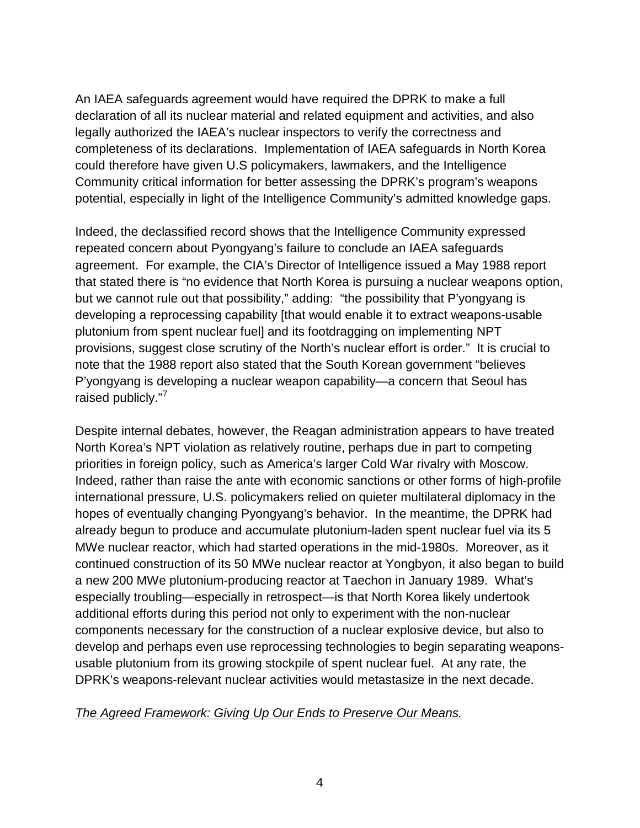An IAEA safeguards agreement would have required the DPRK to make a full declaration of all its nuclear material and related equipment and activities, and also legally authorized the IAEA's nuclear inspectors to verify the correctness and completeness of its declarations. Implementation of IAEA safeguards in North Korea could therefore have given U.S policymakers, lawmakers, and the Intelligence Community critical information for better assessing the DPRK's program's weapons potential, especially in light of the Intelligence Community's admitted knowledge gaps.

Indeed, the declassified record shows that the Intelligence Community expressed repeated concern about Pyongyang's failure to conclude an IAEA safeguards agreement. For example, the CIA's Director of Intelligence issued a May 1988 report that stated there is "no evidence that North Korea is pursuing a nuclear weapons option, but we cannot rule out that possibility," adding: "the possibility that P'yongyang is developing a reprocessing capability [that would enable it to extract weapons-usable plutonium from spent nuclear fuel] and its footdragging on implementing NPT provisions, suggest close scrutiny of the North's nuclear effort is order." It is crucial to note that the 1988 report also stated that the South Korean government "believes P'yongyang is developing a nuclear weapon capability—a concern that Seoul has raised publicly."<sup>[7](#page-19-6)</sup>

Despite internal debates, however, the Reagan administration appears to have treated North Korea's NPT violation as relatively routine, perhaps due in part to competing priorities in foreign policy, such as America's larger Cold War rivalry with Moscow. Indeed, rather than raise the ante with economic sanctions or other forms of high-profile international pressure, U.S. policymakers relied on quieter multilateral diplomacy in the hopes of eventually changing Pyongyang's behavior. In the meantime, the DPRK had already begun to produce and accumulate plutonium-laden spent nuclear fuel via its 5 MWe nuclear reactor, which had started operations in the mid-1980s. Moreover, as it continued construction of its 50 MWe nuclear reactor at Yongbyon, it also began to build a new 200 MWe plutonium-producing reactor at Taechon in January 1989. What's especially troubling—especially in retrospect—is that North Korea likely undertook additional efforts during this period not only to experiment with the non-nuclear components necessary for the construction of a nuclear explosive device, but also to develop and perhaps even use reprocessing technologies to begin separating weaponsusable plutonium from its growing stockpile of spent nuclear fuel. At any rate, the DPRK's weapons-relevant nuclear activities would metastasize in the next decade.

#### *The Agreed Framework: Giving Up Our Ends to Preserve Our Means.*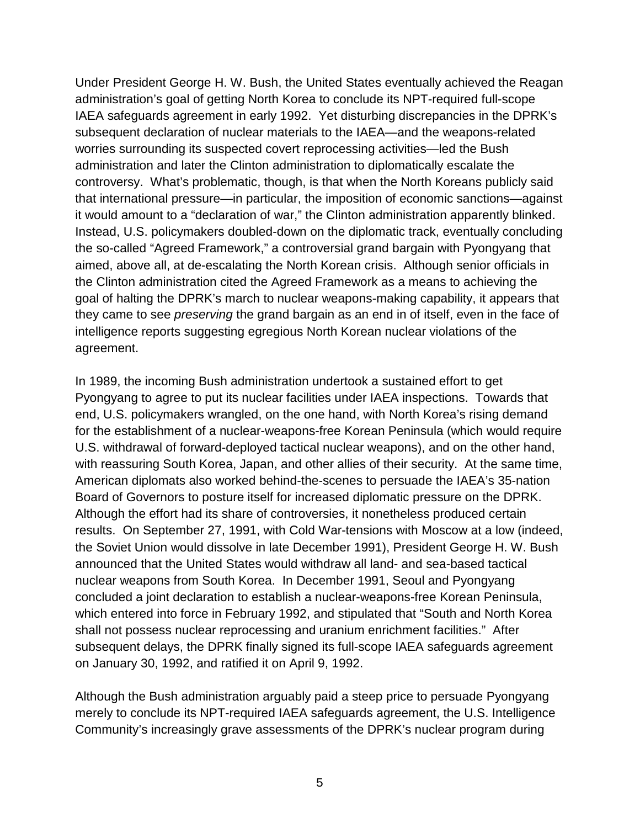Under President George H. W. Bush, the United States eventually achieved the Reagan administration's goal of getting North Korea to conclude its NPT-required full-scope IAEA safeguards agreement in early 1992. Yet disturbing discrepancies in the DPRK's subsequent declaration of nuclear materials to the IAEA—and the weapons-related worries surrounding its suspected covert reprocessing activities—led the Bush administration and later the Clinton administration to diplomatically escalate the controversy. What's problematic, though, is that when the North Koreans publicly said that international pressure—in particular, the imposition of economic sanctions—against it would amount to a "declaration of war," the Clinton administration apparently blinked. Instead, U.S. policymakers doubled-down on the diplomatic track, eventually concluding the so-called "Agreed Framework," a controversial grand bargain with Pyongyang that aimed, above all, at de-escalating the North Korean crisis. Although senior officials in the Clinton administration cited the Agreed Framework as a means to achieving the goal of halting the DPRK's march to nuclear weapons-making capability, it appears that they came to see *preserving* the grand bargain as an end in of itself, even in the face of intelligence reports suggesting egregious North Korean nuclear violations of the agreement.

In 1989, the incoming Bush administration undertook a sustained effort to get Pyongyang to agree to put its nuclear facilities under IAEA inspections. Towards that end, U.S. policymakers wrangled, on the one hand, with North Korea's rising demand for the establishment of a nuclear-weapons-free Korean Peninsula (which would require U.S. withdrawal of forward-deployed tactical nuclear weapons), and on the other hand, with reassuring South Korea, Japan, and other allies of their security. At the same time, American diplomats also worked behind-the-scenes to persuade the IAEA's 35-nation Board of Governors to posture itself for increased diplomatic pressure on the DPRK. Although the effort had its share of controversies, it nonetheless produced certain results. On September 27, 1991, with Cold War-tensions with Moscow at a low (indeed, the Soviet Union would dissolve in late December 1991), President George H. W. Bush announced that the United States would withdraw all land- and sea-based tactical nuclear weapons from South Korea. In December 1991, Seoul and Pyongyang concluded a joint declaration to establish a nuclear-weapons-free Korean Peninsula, which entered into force in February 1992, and stipulated that "South and North Korea shall not possess nuclear reprocessing and uranium enrichment facilities." After subsequent delays, the DPRK finally signed its full-scope IAEA safeguards agreement on January 30, 1992, and ratified it on April 9, 1992.

Although the Bush administration arguably paid a steep price to persuade Pyongyang merely to conclude its NPT-required IAEA safeguards agreement, the U.S. Intelligence Community's increasingly grave assessments of the DPRK's nuclear program during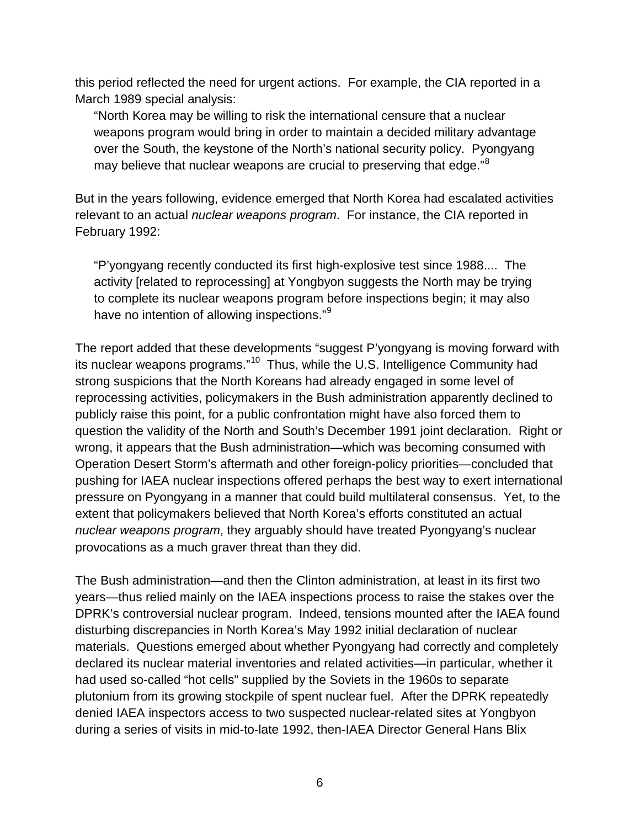this period reflected the need for urgent actions. For example, the CIA reported in a March 1989 special analysis:

"North Korea may be willing to risk the international censure that a nuclear weapons program would bring in order to maintain a decided military advantage over the South, the keystone of the North's national security policy. Pyongyang may believe that nuclear weapons are crucial to preserving that edge."<sup>[8](#page-19-7)</sup>

But in the years following, evidence emerged that North Korea had escalated activities relevant to an actual *nuclear weapons program*. For instance, the CIA reported in February 1992:

"P'yongyang recently conducted its first high-explosive test since 1988.... The activity [related to reprocessing] at Yongbyon suggests the North may be trying to complete its nuclear weapons program before inspections begin; it may also have no intention of allowing inspections."<sup>[9](#page-19-8)</sup>

The report added that these developments "suggest P'yongyang is moving forward with its nuclear weapons programs."<sup>10</sup> Thus, while the U.S. Intelligence Community had strong suspicions that the North Koreans had already engaged in some level of reprocessing activities, policymakers in the Bush administration apparently declined to publicly raise this point, for a public confrontation might have also forced them to question the validity of the North and South's December 1991 joint declaration. Right or wrong, it appears that the Bush administration—which was becoming consumed with Operation Desert Storm's aftermath and other foreign-policy priorities—concluded that pushing for IAEA nuclear inspections offered perhaps the best way to exert international pressure on Pyongyang in a manner that could build multilateral consensus. Yet, to the extent that policymakers believed that North Korea's efforts constituted an actual *nuclear weapons program*, they arguably should have treated Pyongyang's nuclear provocations as a much graver threat than they did.

The Bush administration—and then the Clinton administration, at least in its first two years—thus relied mainly on the IAEA inspections process to raise the stakes over the DPRK's controversial nuclear program. Indeed, tensions mounted after the IAEA found disturbing discrepancies in North Korea's May 1992 initial declaration of nuclear materials. Questions emerged about whether Pyongyang had correctly and completely declared its nuclear material inventories and related activities—in particular, whether it had used so-called "hot cells" supplied by the Soviets in the 1960s to separate plutonium from its growing stockpile of spent nuclear fuel. After the DPRK repeatedly denied IAEA inspectors access to two suspected nuclear-related sites at Yongbyon during a series of visits in mid-to-late 1992, then-IAEA Director General Hans Blix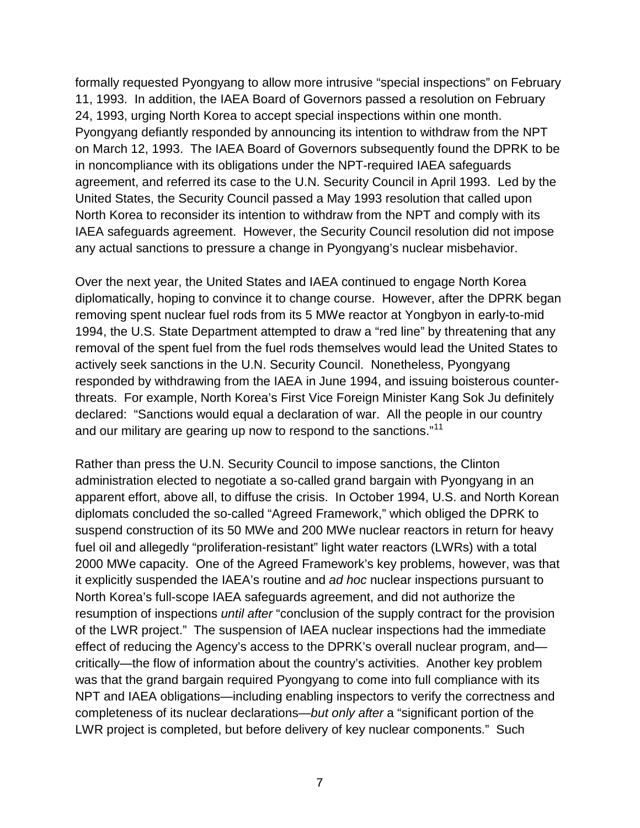formally requested Pyongyang to allow more intrusive "special inspections" on February 11, 1993. In addition, the IAEA Board of Governors passed a resolution on February 24, 1993, urging North Korea to accept special inspections within one month. Pyongyang defiantly responded by announcing its intention to withdraw from the NPT on March 12, 1993. The IAEA Board of Governors subsequently found the DPRK to be in noncompliance with its obligations under the NPT-required IAEA safeguards agreement, and referred its case to the U.N. Security Council in April 1993. Led by the United States, the Security Council passed a May 1993 resolution that called upon North Korea to reconsider its intention to withdraw from the NPT and comply with its IAEA safeguards agreement. However, the Security Council resolution did not impose any actual sanctions to pressure a change in Pyongyang's nuclear misbehavior.

Over the next year, the United States and IAEA continued to engage North Korea diplomatically, hoping to convince it to change course. However, after the DPRK began removing spent nuclear fuel rods from its 5 MWe reactor at Yongbyon in early-to-mid 1994, the U.S. State Department attempted to draw a "red line" by threatening that any removal of the spent fuel from the fuel rods themselves would lead the United States to actively seek sanctions in the U.N. Security Council. Nonetheless, Pyongyang responded by withdrawing from the IAEA in June 1994, and issuing boisterous counterthreats. For example, North Korea's First Vice Foreign Minister Kang Sok Ju definitely declared: "Sanctions would equal a declaration of war. All the people in our country and our military are gearing up now to respond to the sanctions."<sup>[11](#page-19-10)</sup>

Rather than press the U.N. Security Council to impose sanctions, the Clinton administration elected to negotiate a so-called grand bargain with Pyongyang in an apparent effort, above all, to diffuse the crisis. In October 1994, U.S. and North Korean diplomats concluded the so-called "Agreed Framework," which obliged the DPRK to suspend construction of its 50 MWe and 200 MWe nuclear reactors in return for heavy fuel oil and allegedly "proliferation-resistant" light water reactors (LWRs) with a total 2000 MWe capacity. One of the Agreed Framework's key problems, however, was that it explicitly suspended the IAEA's routine and *ad hoc* nuclear inspections pursuant to North Korea's full-scope IAEA safeguards agreement, and did not authorize the resumption of inspections *until after* "conclusion of the supply contract for the provision of the LWR project." The suspension of IAEA nuclear inspections had the immediate effect of reducing the Agency's access to the DPRK's overall nuclear program, and critically—the flow of information about the country's activities. Another key problem was that the grand bargain required Pyongyang to come into full compliance with its NPT and IAEA obligations—including enabling inspectors to verify the correctness and completeness of its nuclear declarations—*but only after* a "significant portion of the LWR project is completed, but before delivery of key nuclear components." Such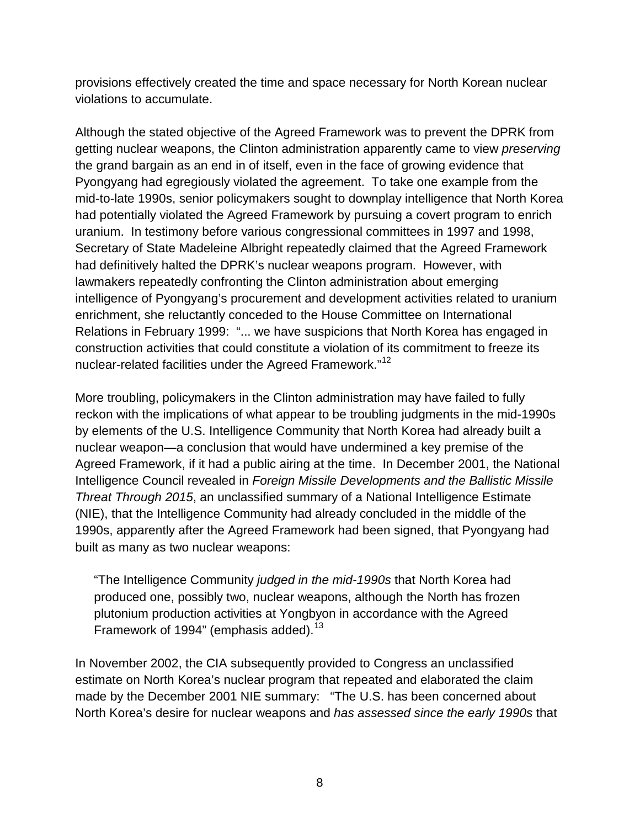provisions effectively created the time and space necessary for North Korean nuclear violations to accumulate.

Although the stated objective of the Agreed Framework was to prevent the DPRK from getting nuclear weapons, the Clinton administration apparently came to view *preserving* the grand bargain as an end in of itself, even in the face of growing evidence that Pyongyang had egregiously violated the agreement. To take one example from the mid-to-late 1990s, senior policymakers sought to downplay intelligence that North Korea had potentially violated the Agreed Framework by pursuing a covert program to enrich uranium. In testimony before various congressional committees in 1997 and 1998, Secretary of State Madeleine Albright repeatedly claimed that the Agreed Framework had definitively halted the DPRK's nuclear weapons program. However, with lawmakers repeatedly confronting the Clinton administration about emerging intelligence of Pyongyang's procurement and development activities related to uranium enrichment, she reluctantly conceded to the House Committee on International Relations in February 1999: "... we have suspicions that North Korea has engaged in construction activities that could constitute a violation of its commitment to freeze its nuclear-related facilities under the Agreed Framework."<sup>[12](#page-19-11)</sup>

More troubling, policymakers in the Clinton administration may have failed to fully reckon with the implications of what appear to be troubling judgments in the mid-1990s by elements of the U.S. Intelligence Community that North Korea had already built a nuclear weapon—a conclusion that would have undermined a key premise of the Agreed Framework, if it had a public airing at the time. In December 2001, the National Intelligence Council revealed in *Foreign Missile Developments and the Ballistic Missile Threat Through 2015*, an unclassified summary of a National Intelligence Estimate (NIE), that the Intelligence Community had already concluded in the middle of the 1990s, apparently after the Agreed Framework had been signed, that Pyongyang had built as many as two nuclear weapons:

"The Intelligence Community *judged in the mid-1990s* that North Korea had produced one, possibly two, nuclear weapons, although the North has frozen plutonium production activities at Yongbyon in accordance with the Agreed Framework of 1994" (emphasis added).<sup>[13](#page-19-12)</sup>

In November 2002, the CIA subsequently provided to Congress an unclassified estimate on North Korea's nuclear program that repeated and elaborated the claim made by the December 2001 NIE summary: "The U.S. has been concerned about North Korea's desire for nuclear weapons and *has assessed since the early 1990s* that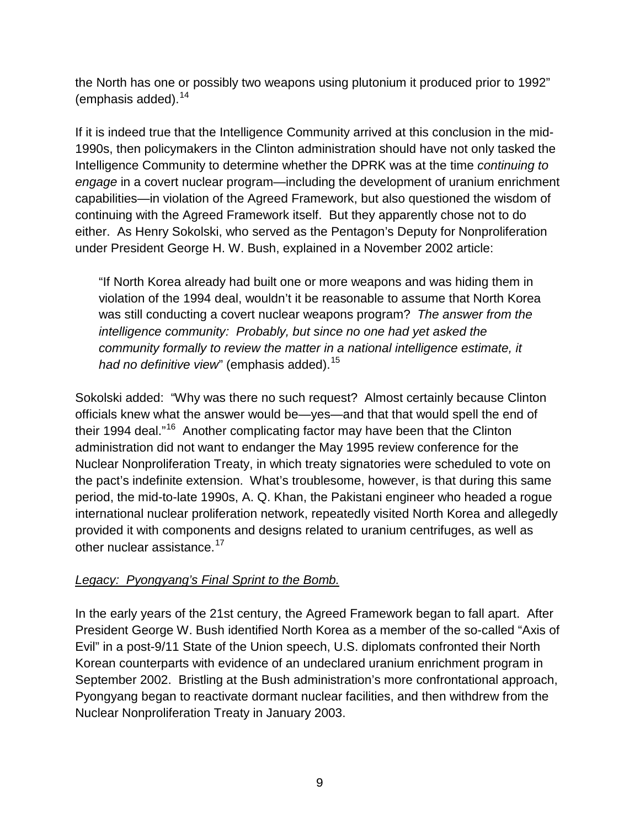the North has one or possibly two weapons using plutonium it produced prior to 1992" (emphasis added). $14$ 

If it is indeed true that the Intelligence Community arrived at this conclusion in the mid-1990s, then policymakers in the Clinton administration should have not only tasked the Intelligence Community to determine whether the DPRK was at the time *continuing to engage* in a covert nuclear program—including the development of uranium enrichment capabilities—in violation of the Agreed Framework, but also questioned the wisdom of continuing with the Agreed Framework itself. But they apparently chose not to do either. As Henry Sokolski, who served as the Pentagon's Deputy for Nonproliferation under President George H. W. Bush, explained in a November 2002 article:

"If North Korea already had built one or more weapons and was hiding them in violation of the 1994 deal, wouldn't it be reasonable to assume that North Korea was still conducting a covert nuclear weapons program? *The answer from the intelligence community: Probably, but since no one had yet asked the community formally to review the matter in a national intelligence estimate, it had no definitive view*" (emphasis added).<sup>[15](#page-20-1)</sup>

Sokolski added: "Why was there no such request? Almost certainly because Clinton officials knew what the answer would be—yes—and that that would spell the end of their 1994 deal."<sup>[16](#page-20-2)</sup> Another complicating factor may have been that the Clinton administration did not want to endanger the May 1995 review conference for the Nuclear Nonproliferation Treaty, in which treaty signatories were scheduled to vote on the pact's indefinite extension. What's troublesome, however, is that during this same period, the mid-to-late 1990s, A. Q. Khan, the Pakistani engineer who headed a rogue international nuclear proliferation network, repeatedly visited North Korea and allegedly provided it with components and designs related to uranium centrifuges, as well as other nuclear assistance.<sup>[17](#page-20-3)</sup>

## *Legacy: Pyongyang's Final Sprint to the Bomb.*

In the early years of the 21st century, the Agreed Framework began to fall apart. After President George W. Bush identified North Korea as a member of the so-called "Axis of Evil" in a post-9/11 State of the Union speech, U.S. diplomats confronted their North Korean counterparts with evidence of an undeclared uranium enrichment program in September 2002. Bristling at the Bush administration's more confrontational approach, Pyongyang began to reactivate dormant nuclear facilities, and then withdrew from the Nuclear Nonproliferation Treaty in January 2003.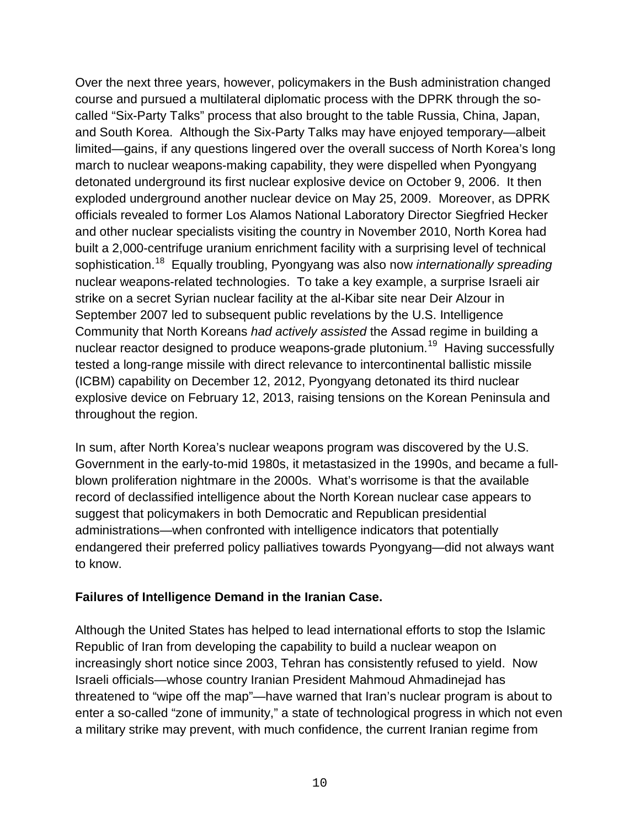Over the next three years, however, policymakers in the Bush administration changed course and pursued a multilateral diplomatic process with the DPRK through the socalled "Six-Party Talks" process that also brought to the table Russia, China, Japan, and South Korea. Although the Six-Party Talks may have enjoyed temporary—albeit limited—gains, if any questions lingered over the overall success of North Korea's long march to nuclear weapons-making capability, they were dispelled when Pyongyang detonated underground its first nuclear explosive device on October 9, 2006. It then exploded underground another nuclear device on May 25, 2009. Moreover, as DPRK officials revealed to former Los Alamos National Laboratory Director Siegfried Hecker and other nuclear specialists visiting the country in November 2010, North Korea had built a 2,000-centrifuge uranium enrichment facility with a surprising level of technical sophistication.[18](#page-20-4) Equally troubling, Pyongyang was also now *internationally spreading* nuclear weapons-related technologies. To take a key example, a surprise Israeli air strike on a secret Syrian nuclear facility at the al-Kibar site near Deir Alzour in September 2007 led to subsequent public revelations by the U.S. Intelligence Community that North Koreans *had actively assisted* the Assad regime in building a nuclear reactor designed to produce weapons-grade plutonium.[19](#page-20-5) Having successfully tested a long-range missile with direct relevance to intercontinental ballistic missile (ICBM) capability on December 12, 2012, Pyongyang detonated its third nuclear explosive device on February 12, 2013, raising tensions on the Korean Peninsula and throughout the region.

In sum, after North Korea's nuclear weapons program was discovered by the U.S. Government in the early-to-mid 1980s, it metastasized in the 1990s, and became a fullblown proliferation nightmare in the 2000s. What's worrisome is that the available record of declassified intelligence about the North Korean nuclear case appears to suggest that policymakers in both Democratic and Republican presidential administrations—when confronted with intelligence indicators that potentially endangered their preferred policy palliatives towards Pyongyang—did not always want to know.

## **Failures of Intelligence Demand in the Iranian Case.**

Although the United States has helped to lead international efforts to stop the Islamic Republic of Iran from developing the capability to build a nuclear weapon on increasingly short notice since 2003, Tehran has consistently refused to yield. Now Israeli officials—whose country Iranian President Mahmoud Ahmadinejad has threatened to "wipe off the map"—have warned that Iran's nuclear program is about to enter a so-called "zone of immunity," a state of technological progress in which not even a military strike may prevent, with much confidence, the current Iranian regime from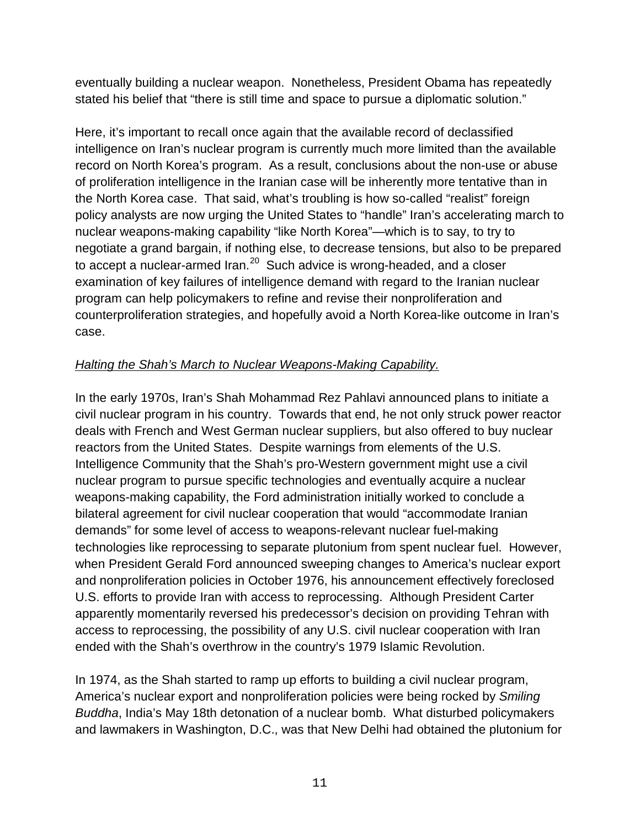eventually building a nuclear weapon. Nonetheless, President Obama has repeatedly stated his belief that "there is still time and space to pursue a diplomatic solution."

Here, it's important to recall once again that the available record of declassified intelligence on Iran's nuclear program is currently much more limited than the available record on North Korea's program. As a result, conclusions about the non-use or abuse of proliferation intelligence in the Iranian case will be inherently more tentative than in the North Korea case. That said, what's troubling is how so-called "realist" foreign policy analysts are now urging the United States to "handle" Iran's accelerating march to nuclear weapons-making capability "like North Korea"—which is to say, to try to negotiate a grand bargain, if nothing else, to decrease tensions, but also to be prepared to accept a nuclear-armed Iran.<sup>[20](#page-20-6)</sup> Such advice is wrong-headed, and a closer examination of key failures of intelligence demand with regard to the Iranian nuclear program can help policymakers to refine and revise their nonproliferation and counterproliferation strategies, and hopefully avoid a North Korea-like outcome in Iran's case.

# *Halting the Shah's March to Nuclear Weapons-Making Capability.*

In the early 1970s, Iran's Shah Mohammad Rez Pahlavi announced plans to initiate a civil nuclear program in his country. Towards that end, he not only struck power reactor deals with French and West German nuclear suppliers, but also offered to buy nuclear reactors from the United States. Despite warnings from elements of the U.S. Intelligence Community that the Shah's pro-Western government might use a civil nuclear program to pursue specific technologies and eventually acquire a nuclear weapons-making capability, the Ford administration initially worked to conclude a bilateral agreement for civil nuclear cooperation that would "accommodate Iranian demands" for some level of access to weapons-relevant nuclear fuel-making technologies like reprocessing to separate plutonium from spent nuclear fuel. However, when President Gerald Ford announced sweeping changes to America's nuclear export and nonproliferation policies in October 1976, his announcement effectively foreclosed U.S. efforts to provide Iran with access to reprocessing. Although President Carter apparently momentarily reversed his predecessor's decision on providing Tehran with access to reprocessing, the possibility of any U.S. civil nuclear cooperation with Iran ended with the Shah's overthrow in the country's 1979 Islamic Revolution.

In 1974, as the Shah started to ramp up efforts to building a civil nuclear program, America's nuclear export and nonproliferation policies were being rocked by *Smiling Buddha*, India's May 18th detonation of a nuclear bomb. What disturbed policymakers and lawmakers in Washington, D.C., was that New Delhi had obtained the plutonium for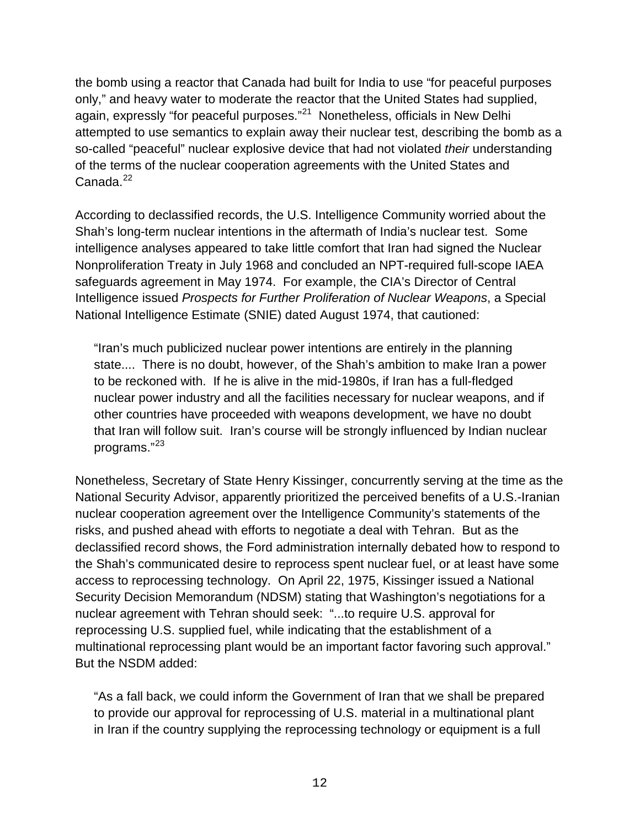the bomb using a reactor that Canada had built for India to use "for peaceful purposes only," and heavy water to moderate the reactor that the United States had supplied, again, expressly "for peaceful purposes."<sup>[21](#page-20-7)</sup> Nonetheless, officials in New Delhi attempted to use semantics to explain away their nuclear test, describing the bomb as a so-called "peaceful" nuclear explosive device that had not violated *their* understanding of the terms of the nuclear cooperation agreements with the United States and Canada.<sup>[22](#page-20-8)</sup>

According to declassified records, the U.S. Intelligence Community worried about the Shah's long-term nuclear intentions in the aftermath of India's nuclear test. Some intelligence analyses appeared to take little comfort that Iran had signed the Nuclear Nonproliferation Treaty in July 1968 and concluded an NPT-required full-scope IAEA safeguards agreement in May 1974. For example, the CIA's Director of Central Intelligence issued *Prospects for Further Proliferation of Nuclear Weapons*, a Special National Intelligence Estimate (SNIE) dated August 1974, that cautioned:

"Iran's much publicized nuclear power intentions are entirely in the planning state.... There is no doubt, however, of the Shah's ambition to make Iran a power to be reckoned with. If he is alive in the mid-1980s, if Iran has a full-fledged nuclear power industry and all the facilities necessary for nuclear weapons, and if other countries have proceeded with weapons development, we have no doubt that Iran will follow suit. Iran's course will be strongly influenced by Indian nuclear programs."<sup>[23](#page-20-9)</sup>

Nonetheless, Secretary of State Henry Kissinger, concurrently serving at the time as the National Security Advisor, apparently prioritized the perceived benefits of a U.S.-Iranian nuclear cooperation agreement over the Intelligence Community's statements of the risks, and pushed ahead with efforts to negotiate a deal with Tehran. But as the declassified record shows, the Ford administration internally debated how to respond to the Shah's communicated desire to reprocess spent nuclear fuel, or at least have some access to reprocessing technology. On April 22, 1975, Kissinger issued a National Security Decision Memorandum (NDSM) stating that Washington's negotiations for a nuclear agreement with Tehran should seek: "...to require U.S. approval for reprocessing U.S. supplied fuel, while indicating that the establishment of a multinational reprocessing plant would be an important factor favoring such approval." But the NSDM added:

"As a fall back, we could inform the Government of Iran that we shall be prepared to provide our approval for reprocessing of U.S. material in a multinational plant in Iran if the country supplying the reprocessing technology or equipment is a full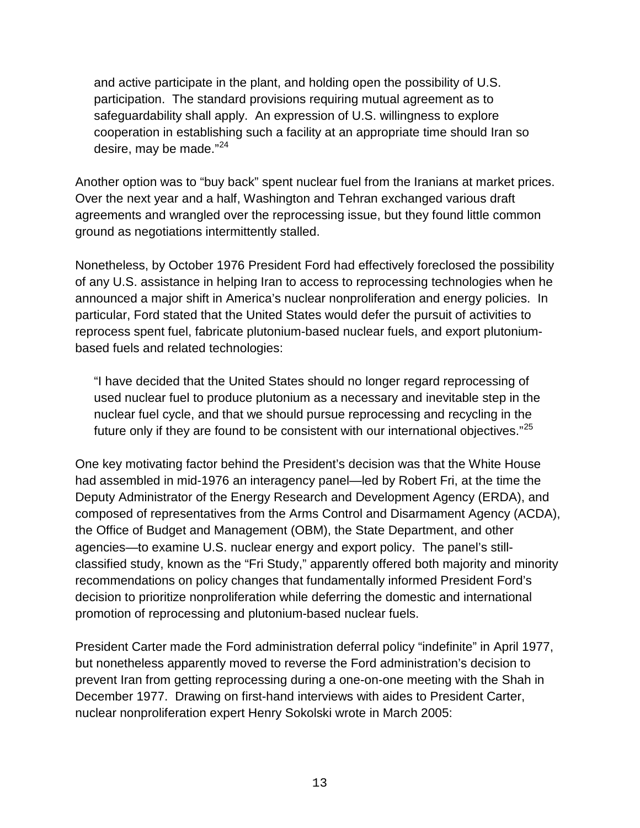and active participate in the plant, and holding open the possibility of U.S. participation. The standard provisions requiring mutual agreement as to safeguardability shall apply. An expression of U.S. willingness to explore cooperation in establishing such a facility at an appropriate time should Iran so desire, may be made."<sup>[24](#page-21-0)</sup>

Another option was to "buy back" spent nuclear fuel from the Iranians at market prices. Over the next year and a half, Washington and Tehran exchanged various draft agreements and wrangled over the reprocessing issue, but they found little common ground as negotiations intermittently stalled.

Nonetheless, by October 1976 President Ford had effectively foreclosed the possibility of any U.S. assistance in helping Iran to access to reprocessing technologies when he announced a major shift in America's nuclear nonproliferation and energy policies. In particular, Ford stated that the United States would defer the pursuit of activities to reprocess spent fuel, fabricate plutonium-based nuclear fuels, and export plutoniumbased fuels and related technologies:

"I have decided that the United States should no longer regard reprocessing of used nuclear fuel to produce plutonium as a necessary and inevitable step in the nuclear fuel cycle, and that we should pursue reprocessing and recycling in the future only if they are found to be consistent with our international objectives."<sup>[25](#page-21-1)</sup>

One key motivating factor behind the President's decision was that the White House had assembled in mid-1976 an interagency panel—led by Robert Fri, at the time the Deputy Administrator of the Energy Research and Development Agency (ERDA), and composed of representatives from the Arms Control and Disarmament Agency (ACDA), the Office of Budget and Management (OBM), the State Department, and other agencies—to examine U.S. nuclear energy and export policy. The panel's stillclassified study, known as the "Fri Study," apparently offered both majority and minority recommendations on policy changes that fundamentally informed President Ford's decision to prioritize nonproliferation while deferring the domestic and international promotion of reprocessing and plutonium-based nuclear fuels.

President Carter made the Ford administration deferral policy "indefinite" in April 1977, but nonetheless apparently moved to reverse the Ford administration's decision to prevent Iran from getting reprocessing during a one-on-one meeting with the Shah in December 1977. Drawing on first-hand interviews with aides to President Carter, nuclear nonproliferation expert Henry Sokolski wrote in March 2005: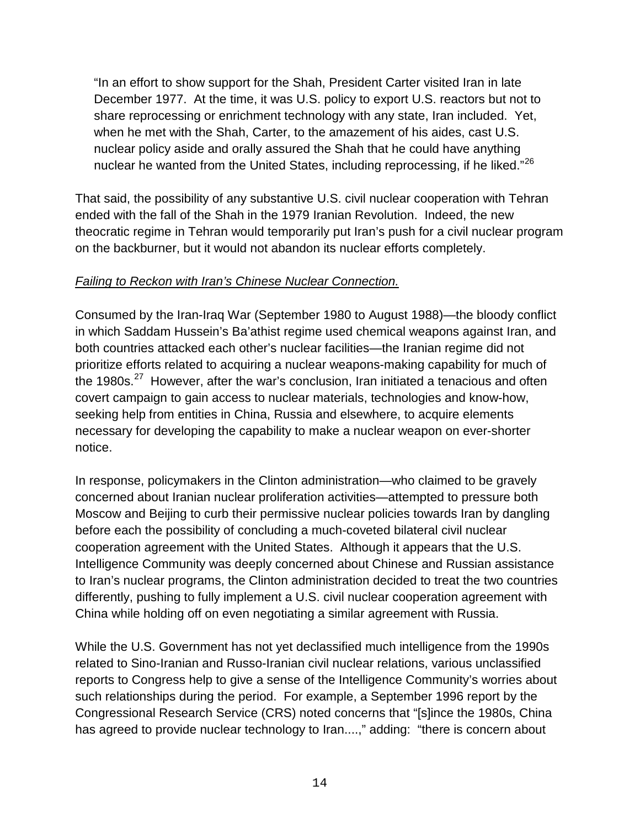"In an effort to show support for the Shah, President Carter visited Iran in late December 1977. At the time, it was U.S. policy to export U.S. reactors but not to share reprocessing or enrichment technology with any state, Iran included. Yet, when he met with the Shah, Carter, to the amazement of his aides, cast U.S. nuclear policy aside and orally assured the Shah that he could have anything nuclear he wanted from the United States, including reprocessing, if he liked."<sup>[26](#page-21-2)</sup>

That said, the possibility of any substantive U.S. civil nuclear cooperation with Tehran ended with the fall of the Shah in the 1979 Iranian Revolution. Indeed, the new theocratic regime in Tehran would temporarily put Iran's push for a civil nuclear program on the backburner, but it would not abandon its nuclear efforts completely.

## *Failing to Reckon with Iran's Chinese Nuclear Connection.*

Consumed by the Iran-Iraq War (September 1980 to August 1988)—the bloody conflict in which Saddam Hussein's Ba'athist regime used chemical weapons against Iran, and both countries attacked each other's nuclear facilities—the Iranian regime did not prioritize efforts related to acquiring a nuclear weapons-making capability for much of the 1980s.<sup>[27](#page-21-3)</sup> However, after the war's conclusion, Iran initiated a tenacious and often covert campaign to gain access to nuclear materials, technologies and know-how, seeking help from entities in China, Russia and elsewhere, to acquire elements necessary for developing the capability to make a nuclear weapon on ever-shorter notice.

In response, policymakers in the Clinton administration—who claimed to be gravely concerned about Iranian nuclear proliferation activities—attempted to pressure both Moscow and Beijing to curb their permissive nuclear policies towards Iran by dangling before each the possibility of concluding a much-coveted bilateral civil nuclear cooperation agreement with the United States. Although it appears that the U.S. Intelligence Community was deeply concerned about Chinese and Russian assistance to Iran's nuclear programs, the Clinton administration decided to treat the two countries differently, pushing to fully implement a U.S. civil nuclear cooperation agreement with China while holding off on even negotiating a similar agreement with Russia.

While the U.S. Government has not yet declassified much intelligence from the 1990s related to Sino-Iranian and Russo-Iranian civil nuclear relations, various unclassified reports to Congress help to give a sense of the Intelligence Community's worries about such relationships during the period. For example, a September 1996 report by the Congressional Research Service (CRS) noted concerns that "[s]ince the 1980s, China has agreed to provide nuclear technology to Iran....," adding: "there is concern about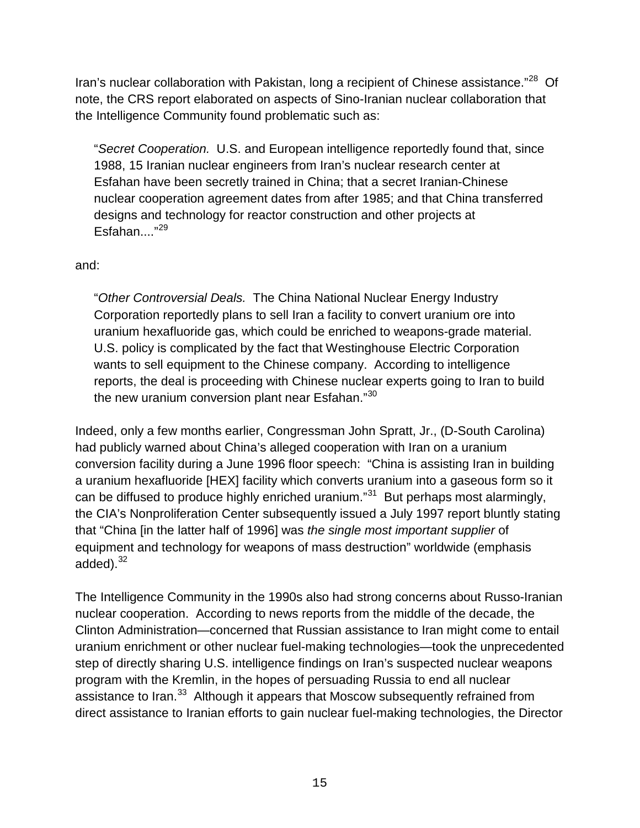Iran's nuclear collaboration with Pakistan, long a recipient of Chinese assistance."<sup>28</sup> Of note, the CRS report elaborated on aspects of Sino-Iranian nuclear collaboration that the Intelligence Community found problematic such as:

"*Secret Cooperation.* U.S. and European intelligence reportedly found that, since 1988, 15 Iranian nuclear engineers from Iran's nuclear research center at Esfahan have been secretly trained in China; that a secret Iranian-Chinese nuclear cooperation agreement dates from after 1985; and that China transferred designs and technology for reactor construction and other projects at Esfahan...."<sup>29</sup>

### and:

"*Other Controversial Deals.* The China National Nuclear Energy Industry Corporation reportedly plans to sell Iran a facility to convert uranium ore into uranium hexafluoride gas, which could be enriched to weapons-grade material. U.S. policy is complicated by the fact that Westinghouse Electric Corporation wants to sell equipment to the Chinese company. According to intelligence reports, the deal is proceeding with Chinese nuclear experts going to Iran to build the new uranium conversion plant near Esfahan."<sup>[30](#page-21-6)</sup>

Indeed, only a few months earlier, Congressman John Spratt, Jr., (D-South Carolina) had publicly warned about China's alleged cooperation with Iran on a uranium conversion facility during a June 1996 floor speech: "China is assisting Iran in building a uranium hexafluoride [HEX] facility which converts uranium into a gaseous form so it can be diffused to produce highly enriched uranium."<sup>31</sup> But perhaps most alarmingly, the CIA's Nonproliferation Center subsequently issued a July 1997 report bluntly stating that "China [in the latter half of 1996] was *the single most important supplier* of equipment and technology for weapons of mass destruction" worldwide (emphasis added).<sup>[32](#page-21-8)</sup>

The Intelligence Community in the 1990s also had strong concerns about Russo-Iranian nuclear cooperation. According to news reports from the middle of the decade, the Clinton Administration—concerned that Russian assistance to Iran might come to entail uranium enrichment or other nuclear fuel-making technologies—took the unprecedented step of directly sharing U.S. intelligence findings on Iran's suspected nuclear weapons program with the Kremlin, in the hopes of persuading Russia to end all nuclear assistance to Iran.<sup>33</sup> Although it appears that Moscow subsequently refrained from direct assistance to Iranian efforts to gain nuclear fuel-making technologies, the Director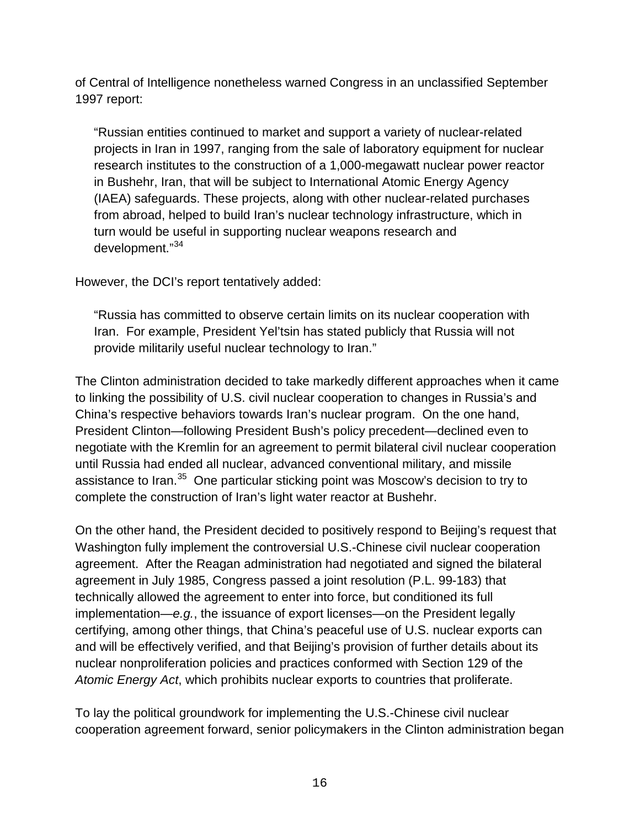of Central of Intelligence nonetheless warned Congress in an unclassified September 1997 report:

"Russian entities continued to market and support a variety of nuclear-related projects in Iran in 1997, ranging from the sale of laboratory equipment for nuclear research institutes to the construction of a 1,000-megawatt nuclear power reactor in Bushehr, Iran, that will be subject to International Atomic Energy Agency (IAEA) safeguards. These projects, along with other nuclear-related purchases from abroad, helped to build Iran's nuclear technology infrastructure, which in turn would be useful in supporting nuclear weapons research and development." [34](#page-21-10)

However, the DCI's report tentatively added:

"Russia has committed to observe certain limits on its nuclear cooperation with Iran. For example, President Yel'tsin has stated publicly that Russia will not provide militarily useful nuclear technology to Iran."

The Clinton administration decided to take markedly different approaches when it came to linking the possibility of U.S. civil nuclear cooperation to changes in Russia's and China's respective behaviors towards Iran's nuclear program. On the one hand, President Clinton—following President Bush's policy precedent—declined even to negotiate with the Kremlin for an agreement to permit bilateral civil nuclear cooperation until Russia had ended all nuclear, advanced conventional military, and missile assistance to Iran.<sup>35</sup> One particular sticking point was Moscow's decision to try to complete the construction of Iran's light water reactor at Bushehr.

On the other hand, the President decided to positively respond to Beijing's request that Washington fully implement the controversial U.S.-Chinese civil nuclear cooperation agreement. After the Reagan administration had negotiated and signed the bilateral agreement in July 1985, Congress passed a joint resolution (P.L. 99-183) that technically allowed the agreement to enter into force, but conditioned its full implementation—*e.g.*, the issuance of export licenses—on the President legally certifying, among other things, that China's peaceful use of U.S. nuclear exports can and will be effectively verified, and that Beijing's provision of further details about its nuclear nonproliferation policies and practices conformed with Section 129 of the *Atomic Energy Act*, which prohibits nuclear exports to countries that proliferate.

To lay the political groundwork for implementing the U.S.-Chinese civil nuclear cooperation agreement forward, senior policymakers in the Clinton administration began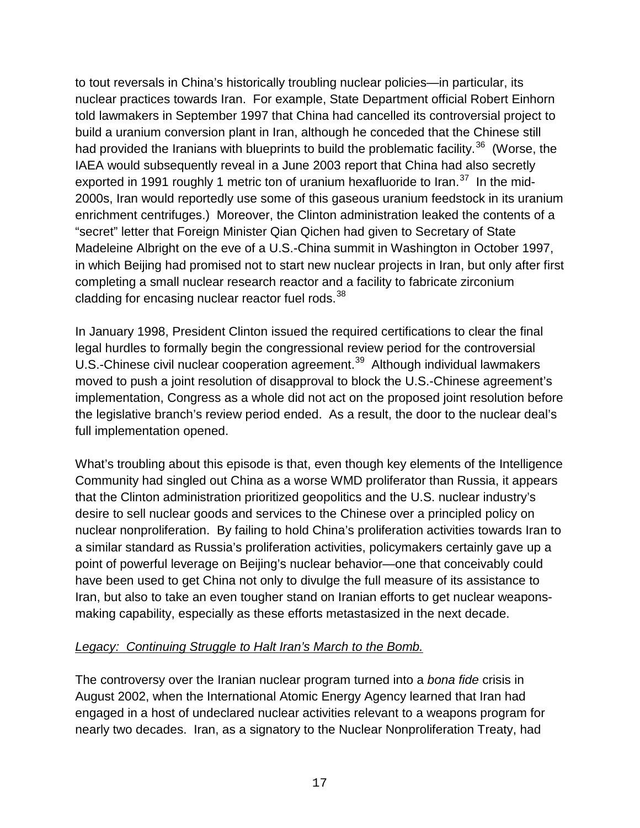to tout reversals in China's historically troubling nuclear policies—in particular, its nuclear practices towards Iran. For example, State Department official Robert Einhorn told lawmakers in September 1997 that China had cancelled its controversial project to build a uranium conversion plant in Iran, although he conceded that the Chinese still had provided the Iranians with blueprints to build the problematic facility.<sup>[36](#page-21-12)</sup> (Worse, the IAEA would subsequently reveal in a June 2003 report that China had also secretly exported in 1991 roughly 1 metric ton of uranium hexafluoride to Iran.<sup>37</sup> In the mid-2000s, Iran would reportedly use some of this gaseous uranium feedstock in its uranium enrichment centrifuges.) Moreover, the Clinton administration leaked the contents of a "secret" letter that Foreign Minister Qian Qichen had given to Secretary of State Madeleine Albright on the eve of a U.S.-China summit in Washington in October 1997, in which Beijing had promised not to start new nuclear projects in Iran, but only after first completing a small nuclear research reactor and a facility to fabricate zirconium cladding for encasing nuclear reactor fuel rods.<sup>38</sup>

In January 1998, President Clinton issued the required certifications to clear the final legal hurdles to formally begin the congressional review period for the controversial U.S.-Chinese civil nuclear cooperation agreement.<sup>39</sup> Although individual lawmakers moved to push a joint resolution of disapproval to block the U.S.-Chinese agreement's implementation, Congress as a whole did not act on the proposed joint resolution before the legislative branch's review period ended. As a result, the door to the nuclear deal's full implementation opened.

What's troubling about this episode is that, even though key elements of the Intelligence Community had singled out China as a worse WMD proliferator than Russia, it appears that the Clinton administration prioritized geopolitics and the U.S. nuclear industry's desire to sell nuclear goods and services to the Chinese over a principled policy on nuclear nonproliferation. By failing to hold China's proliferation activities towards Iran to a similar standard as Russia's proliferation activities, policymakers certainly gave up a point of powerful leverage on Beijing's nuclear behavior—one that conceivably could have been used to get China not only to divulge the full measure of its assistance to Iran, but also to take an even tougher stand on Iranian efforts to get nuclear weaponsmaking capability, especially as these efforts metastasized in the next decade.

## *Legacy: Continuing Struggle to Halt Iran's March to the Bomb.*

The controversy over the Iranian nuclear program turned into a *bona fide* crisis in August 2002, when the International Atomic Energy Agency learned that Iran had engaged in a host of undeclared nuclear activities relevant to a weapons program for nearly two decades. Iran, as a signatory to the Nuclear Nonproliferation Treaty, had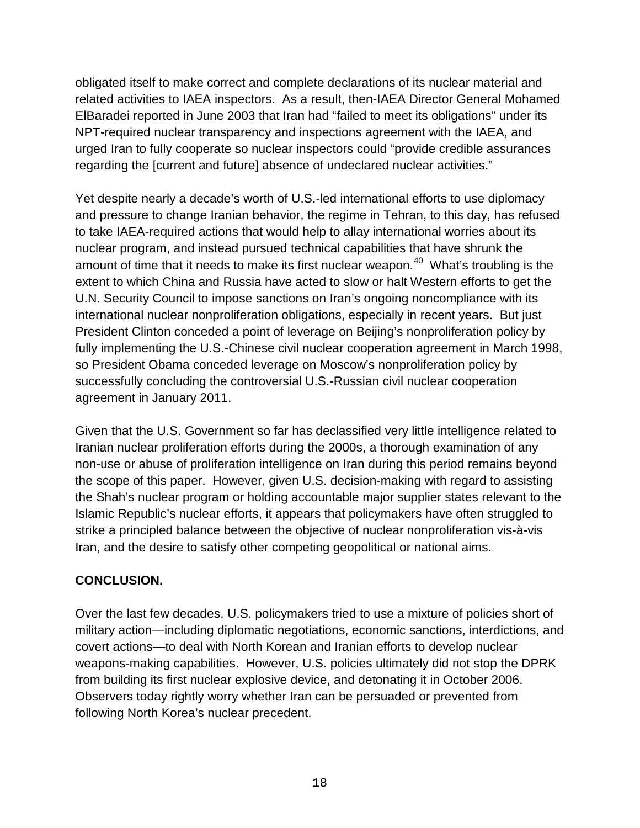obligated itself to make correct and complete declarations of its nuclear material and related activities to IAEA inspectors. As a result, then-IAEA Director General Mohamed ElBaradei reported in June 2003 that Iran had "failed to meet its obligations" under its NPT-required nuclear transparency and inspections agreement with the IAEA, and urged Iran to fully cooperate so nuclear inspectors could "provide credible assurances regarding the [current and future] absence of undeclared nuclear activities."

Yet despite nearly a decade's worth of U.S.-led international efforts to use diplomacy and pressure to change Iranian behavior, the regime in Tehran, to this day, has refused to take IAEA-required actions that would help to allay international worries about its nuclear program, and instead pursued technical capabilities that have shrunk the amount of time that it needs to make its first nuclear weapon.<sup>40</sup> What's troubling is the extent to which China and Russia have acted to slow or halt Western efforts to get the U.N. Security Council to impose sanctions on Iran's ongoing noncompliance with its international nuclear nonproliferation obligations, especially in recent years. But just President Clinton conceded a point of leverage on Beijing's nonproliferation policy by fully implementing the U.S.-Chinese civil nuclear cooperation agreement in March 1998, so President Obama conceded leverage on Moscow's nonproliferation policy by successfully concluding the controversial U.S.-Russian civil nuclear cooperation agreement in January 2011.

Given that the U.S. Government so far has declassified very little intelligence related to Iranian nuclear proliferation efforts during the 2000s, a thorough examination of any non-use or abuse of proliferation intelligence on Iran during this period remains beyond the scope of this paper. However, given U.S. decision-making with regard to assisting the Shah's nuclear program or holding accountable major supplier states relevant to the Islamic Republic's nuclear efforts, it appears that policymakers have often struggled to strike a principled balance between the objective of nuclear nonproliferation vis-à-vis Iran, and the desire to satisfy other competing geopolitical or national aims.

# **CONCLUSION.**

Over the last few decades, U.S. policymakers tried to use a mixture of policies short of military action—including diplomatic negotiations, economic sanctions, interdictions, and covert actions—to deal with North Korean and Iranian efforts to develop nuclear weapons-making capabilities. However, U.S. policies ultimately did not stop the DPRK from building its first nuclear explosive device, and detonating it in October 2006. Observers today rightly worry whether Iran can be persuaded or prevented from following North Korea's nuclear precedent.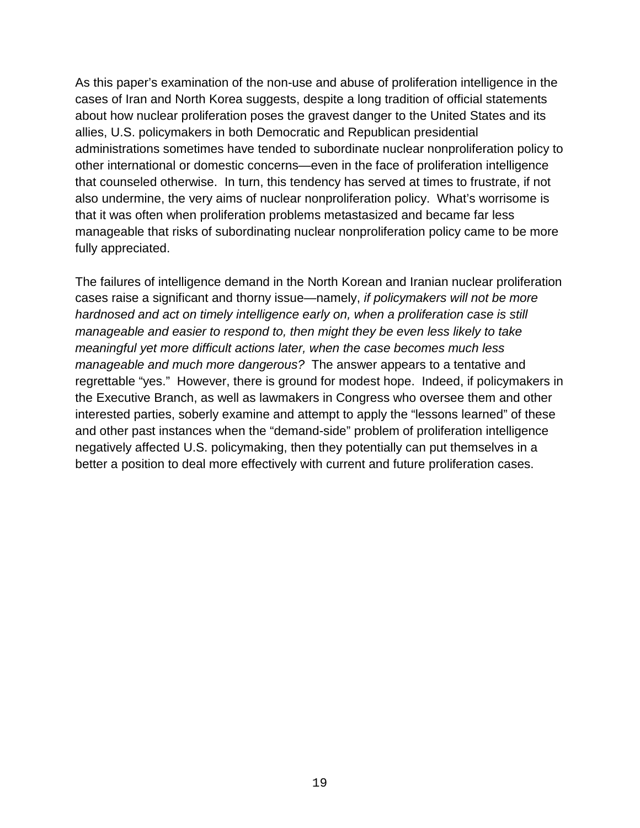As this paper's examination of the non-use and abuse of proliferation intelligence in the cases of Iran and North Korea suggests, despite a long tradition of official statements about how nuclear proliferation poses the gravest danger to the United States and its allies, U.S. policymakers in both Democratic and Republican presidential administrations sometimes have tended to subordinate nuclear nonproliferation policy to other international or domestic concerns—even in the face of proliferation intelligence that counseled otherwise. In turn, this tendency has served at times to frustrate, if not also undermine, the very aims of nuclear nonproliferation policy. What's worrisome is that it was often when proliferation problems metastasized and became far less manageable that risks of subordinating nuclear nonproliferation policy came to be more fully appreciated.

The failures of intelligence demand in the North Korean and Iranian nuclear proliferation cases raise a significant and thorny issue—namely, *if policymakers will not be more hardnosed and act on timely intelligence early on, when a proliferation case is still manageable and easier to respond to, then might they be even less likely to take meaningful yet more difficult actions later, when the case becomes much less manageable and much more dangerous?* The answer appears to a tentative and regrettable "yes." However, there is ground for modest hope. Indeed, if policymakers in the Executive Branch, as well as lawmakers in Congress who oversee them and other interested parties, soberly examine and attempt to apply the "lessons learned" of these and other past instances when the "demand-side" problem of proliferation intelligence negatively affected U.S. policymaking, then they potentially can put themselves in a better a position to deal more effectively with current and future proliferation cases.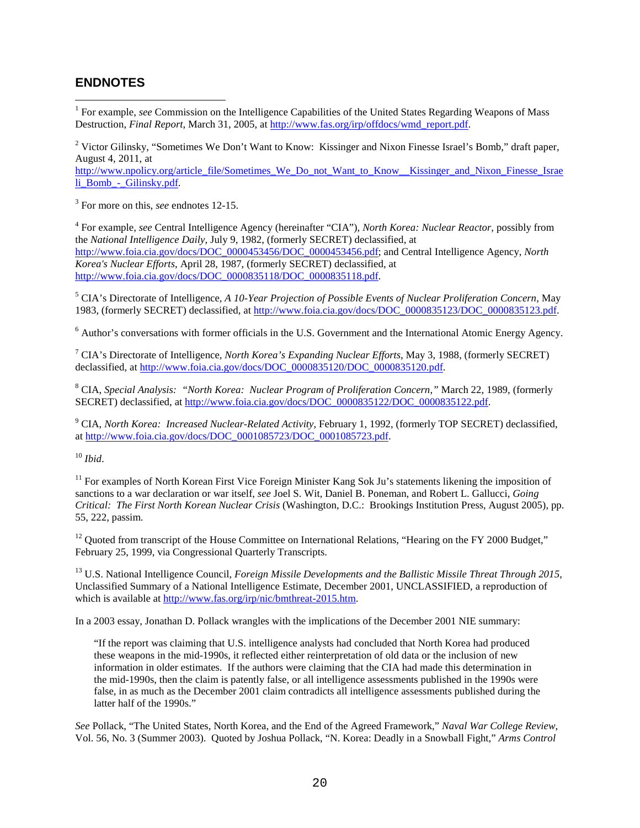### **ENDNOTES**

<span id="page-19-0"></span><sup>1</sup> For example, *see* Commission on the Intelligence Capabilities of the United States Regarding Weapons of Mass Destruction, *Final Report*, March 31, 2005, at [http://www.fas.org/irp/offdocs/wmd\\_report.pdf.](http://www.fas.org/irp/offdocs/wmd_report.pdf)

<sup>2</sup> Victor Gilinsky, "Sometimes We Don't Want to Know: Kissinger and Nixon Finesse Israel's Bomb," draft paper, August 4, 2011, at

[http://www.npolicy.org/article\\_file/Sometimes\\_We\\_Do\\_not\\_Want\\_to\\_Know\\_\\_Kissinger\\_and\\_Nixon\\_Finesse\\_Israe](http://www.npolicy.org/article_file/Sometimes_We_Do_not_Want_to_Know__Kissinger_and_Nixon_Finesse_Israeli_Bomb_-_Gilinsky.pdf) li\_Bomb - Gilinsky.pdf.

<span id="page-19-1"></span><sup>3</sup> For more on this, *see* endnotes 12-15.

<sup>4</sup> For example, *see* Central Intelligence Agency (hereinafter "CIA"), *North Korea: Nuclear Reactor,* possibly from the *National Intelligence Daily*, July 9, 1982, (formerly SECRET) declassified, at [http://www.foia.cia.gov/docs/DOC\\_0000453456/DOC\\_0000453456.pdf;](http://www.foia.cia.gov/docs/DOC_0000453456/DOC_0000453456.pdf) and Central Intelligence Agency, *North Korea's Nuclear Efforts*, April 28, 1987, (formerly SECRET) declassified, at [http://www.foia.cia.gov/docs/DOC\\_0000835118/DOC\\_0000835118.pdf.](http://www.foia.cia.gov/docs/DOC_0000835118/DOC_0000835118.pdf)

<span id="page-19-3"></span><span id="page-19-2"></span><sup>5</sup> CIA's Directorate of Intelligence, *A 10-Year Projection of Possible Events of Nuclear Proliferation Concern*, May 1983, (formerly SECRET) declassified, at [http://www.foia.cia.gov/docs/DOC\\_0000835123/DOC\\_0000835123.pdf.](http://www.foia.cia.gov/docs/DOC_0000835123/DOC_0000835123.pdf)

<sup>6</sup> Author's conversations with former officials in the U.S. Government and the International Atomic Energy Agency.

<span id="page-19-4"></span><sup>7</sup> CIA's Directorate of Intelligence, *North Korea's Expanding Nuclear Efforts*, May 3, 1988, (formerly SECRET) declassified, at [http://www.foia.cia.gov/docs/DOC\\_0000835120/DOC\\_0000835120.pdf.](http://www.foia.cia.gov/docs/DOC_0000835120/DOC_0000835120.pdf)

<span id="page-19-5"></span><sup>8</sup> CIA, *Special Analysis: "North Korea: Nuclear Program of Proliferation Concern,"* March 22, 1989, (formerly SECRET) declassified, at [http://www.foia.cia.gov/docs/DOC\\_0000835122/DOC\\_0000835122.pdf.](http://www.foia.cia.gov/docs/DOC_0000835122/DOC_0000835122.pdf)

<span id="page-19-6"></span><sup>9</sup> CIA, *North Korea: Increased Nuclear-Related Activity*, February 1, 1992, (formerly TOP SECRET) declassified, a[t http://www.foia.cia.gov/docs/DOC\\_0001085723/DOC\\_0001085723.pdf.](http://www.foia.cia.gov/docs/DOC_0001085723/DOC_0001085723.pdf)

<span id="page-19-7"></span> $10$  *Ibid.* 

<span id="page-19-8"></span> $11$  For examples of North Korean First Vice Foreign Minister Kang Sok Ju's statements likening the imposition of sanctions to a war declaration or war itself, *see* Joel S. Wit, Daniel B. Poneman, and Robert L. Gallucci, *Going Critical: The First North Korean Nuclear Crisis* (Washington, D.C.: Brookings Institution Press, August 2005), pp. 55, 222, passim.

<span id="page-19-10"></span><span id="page-19-9"></span><sup>12</sup> Quoted from transcript of the House Committee on International Relations, "Hearing on the FY 2000 Budget," February 25, 1999, via Congressional Quarterly Transcripts.

<sup>13</sup> U.S. National Intelligence Council, *Foreign Missile Developments and the Ballistic Missile Threat Through 2015*, Unclassified Summary of a National Intelligence Estimate, December 2001, UNCLASSIFIED, a reproduction of which is available at [http://www.fas.org/irp/nic/bmthreat-2015.htm.](http://www.fas.org/irp/nic/bmthreat-2015.htm) 

<span id="page-19-12"></span><span id="page-19-11"></span>In a 2003 essay, Jonathan D. Pollack wrangles with the implications of the December 2001 NIE summary:

"If the report was claiming that U.S. intelligence analysts had concluded that North Korea had produced these weapons in the mid-1990s, it reflected either reinterpretation of old data or the inclusion of new information in older estimates. If the authors were claiming that the CIA had made this determination in the mid-1990s, then the claim is patently false, or all intelligence assessments published in the 1990s were false, in as much as the December 2001 claim contradicts all intelligence assessments published during the latter half of the 1990s."

*See* Pollack, "The United States, North Korea, and the End of the Agreed Framework," *Naval War College Review*, Vol. 56, No. 3 (Summer 2003). Quoted by Joshua Pollack, "N. Korea: Deadly in a Snowball Fight," *Arms Control*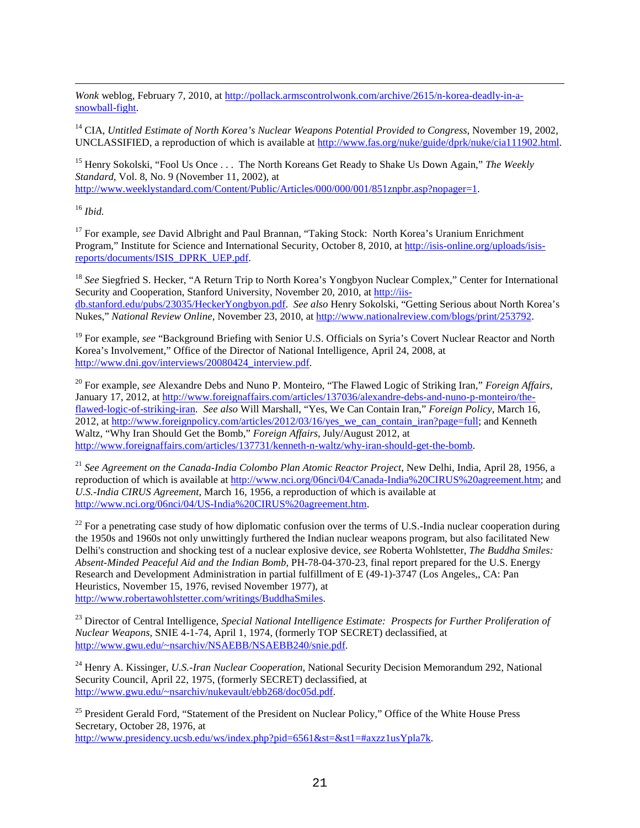$\overline{a}$ *Wonk* weblog, February 7, 2010, at [http://pollack.armscontrolwonk.com/archive/2615/n-korea-deadly-in-a](http://pollack.armscontrolwonk.com/archive/2615/n-korea-deadly-in-a-snowball-fight)[snowball-fight.](http://pollack.armscontrolwonk.com/archive/2615/n-korea-deadly-in-a-snowball-fight)

<sup>14</sup> CIA, *Untitled Estimate of North Korea's Nuclear Weapons Potential Provided to Congress*, November 19, 2002, UNCLASSIFIED, a reproduction of which is available at [http://www.fas.org/nuke/guide/dprk/nuke/cia111902.html.](http://www.fas.org/nuke/guide/dprk/nuke/cia111902.html)

<sup>15</sup> Henry Sokolski, "Fool Us Once . . . The North Koreans Get Ready to Shake Us Down Again," *The Weekly Standard*, Vol. 8, No. 9 (November 11, 2002), at [http://www.weeklystandard.com/Content/Public/Articles/000/000/001/851znpbr.asp?nopager=1.](http://www.weeklystandard.com/Content/Public/Articles/000/000/001/851znpbr.asp?nopager=1)

<span id="page-20-0"></span><sup>16</sup> *Ibid.*

<span id="page-20-1"></span><sup>17</sup> For example, *see* David Albright and Paul Brannan, "Taking Stock: North Korea's Uranium Enrichment Program," Institute for Science and International Security, October 8, 2010, at [http://isis-online.org/uploads/isis](http://isis-online.org/uploads/isis-reports/documents/ISIS_DPRK_UEP.pdf)[reports/documents/ISIS\\_DPRK\\_UEP.pdf.](http://isis-online.org/uploads/isis-reports/documents/ISIS_DPRK_UEP.pdf)

<span id="page-20-3"></span><span id="page-20-2"></span><sup>18</sup> *See* Siegfried S. Hecker, "A Return Trip to North Korea's Yongbyon Nuclear Complex," Center for International Security and Cooperation, Stanford University, November 20, 2010, at [http://iis](http://iis-db.stanford.edu/pubs/23035/HeckerYongbyon.pdf)[db.stanford.edu/pubs/23035/HeckerYongbyon.pdf.](http://iis-db.stanford.edu/pubs/23035/HeckerYongbyon.pdf) *See also* Henry Sokolski, "Getting Serious about North Korea's Nukes," *National Review Online*, November 23, 2010, a[t http://www.nationalreview.com/blogs/print/253792.](http://www.nationalreview.com/blogs/print/253792)

<span id="page-20-4"></span><sup>19</sup> For example, *see* "Background Briefing with Senior U.S. Officials on Syria's Covert Nuclear Reactor and North Korea's Involvement," Office of the Director of National Intelligence, April 24, 2008, at [http://www.dni.gov/interviews/20080424\\_interview.pdf.](http://www.dni.gov/interviews/20080424_interview.pdf)

<span id="page-20-5"></span><sup>20</sup> For example, *see* Alexandre Debs and Nuno P. Monteiro, "The Flawed Logic of Striking Iran," *Foreign Affairs*, January 17, 2012, at [http://www.foreignaffairs.com/articles/137036/alexandre-debs-and-nuno-p-monteiro/the](http://www.foreignaffairs.com/articles/137036/alexandre-debs-and-nuno-p-monteiro/the-flawed-logic-of-striking-iran)[flawed-logic-of-striking-iran.](http://www.foreignaffairs.com/articles/137036/alexandre-debs-and-nuno-p-monteiro/the-flawed-logic-of-striking-iran) *See also* Will Marshall, "Yes, We Can Contain Iran," *Foreign Policy*, March 16, 2012, a[t http://www.foreignpolicy.com/articles/2012/03/16/yes\\_we\\_can\\_contain\\_iran?page=full;](http://www.foreignpolicy.com/articles/2012/03/16/yes_we_can_contain_iran?page=full) and Kenneth Waltz, "Why Iran Should Get the Bomb," *Foreign Affairs*, July/August 2012, at [http://www.foreignaffairs.com/articles/137731/kenneth-n-waltz/why-iran-should-get-the-bomb.](http://www.foreignaffairs.com/articles/137731/kenneth-n-waltz/why-iran-should-get-the-bomb) 

<span id="page-20-6"></span><sup>21</sup> *See Agreement on the Canada-India Colombo Plan Atomic Reactor Project*, New Delhi, India, April 28, 1956, a reproduction of which is available at [http://www.nci.org/06nci/04/Canada-India%20CIRUS%20agreement.htm;](http://www.nci.org/06nci/04/Canada-India%20CIRUS%20agreement.htm) and *U.S.-India CIRUS Agreement*, March 16, 1956, a reproduction of which is available at [http://www.nci.org/06nci/04/US-India%20CIRUS%20agreement.htm.](http://www.nci.org/06nci/04/US-India%20CIRUS%20agreement.htm)

<span id="page-20-7"></span> $^{22}$  For a penetrating case study of how diplomatic confusion over the terms of U.S.-India nuclear cooperation during the 1950s and 1960s not only unwittingly furthered the Indian nuclear weapons program, but also facilitated New Delhi's construction and shocking test of a nuclear explosive device, *see* Roberta Wohlstetter, *The Buddha Smiles: Absent-Minded Peaceful Aid and the Indian Bomb*, PH-78-04-370-23, final report prepared for the U.S. Energy Research and Development Administration in partial fulfillment of E (49-1)-3747 (Los Angeles,, CA: Pan Heuristics, November 15, 1976, revised November 1977), at [http://www.robertawohlstetter.com/writings/BuddhaSmiles.](http://www.robertawohlstetter.com/writings/BuddhaSmiles)

<span id="page-20-8"></span><sup>23</sup> Director of Central Intelligence, *Special National Intelligence Estimate: Prospects for Further Proliferation of Nuclear Weapons*, SNIE 4-1-74, April 1, 1974, (formerly TOP SECRET) declassified, at [http://www.gwu.edu/~nsarchiv/NSAEBB/NSAEBB240/snie.pdf.](http://www.gwu.edu/~nsarchiv/NSAEBB/NSAEBB240/snie.pdf)

<span id="page-20-9"></span><sup>24</sup> Henry A. Kissinger, *U.S.-Iran Nuclear Cooperation*, National Security Decision Memorandum 292, National Security Council, April 22, 1975, (formerly SECRET) declassified, at [http://www.gwu.edu/~nsarchiv/nukevault/ebb268/doc05d.pdf.](http://www.gwu.edu/~nsarchiv/nukevault/ebb268/doc05d.pdf)

<sup>25</sup> President Gerald Ford, "Statement of the President on Nuclear Policy," Office of the White House Press Secretary, October 28, 1976, at [http://www.presidency.ucsb.edu/ws/index.php?pid=6561&st=&st1=#axzz1usYpla7k.](http://www.presidency.ucsb.edu/ws/index.php?pid=6561&st=&st1=#axzz1usYpla7k)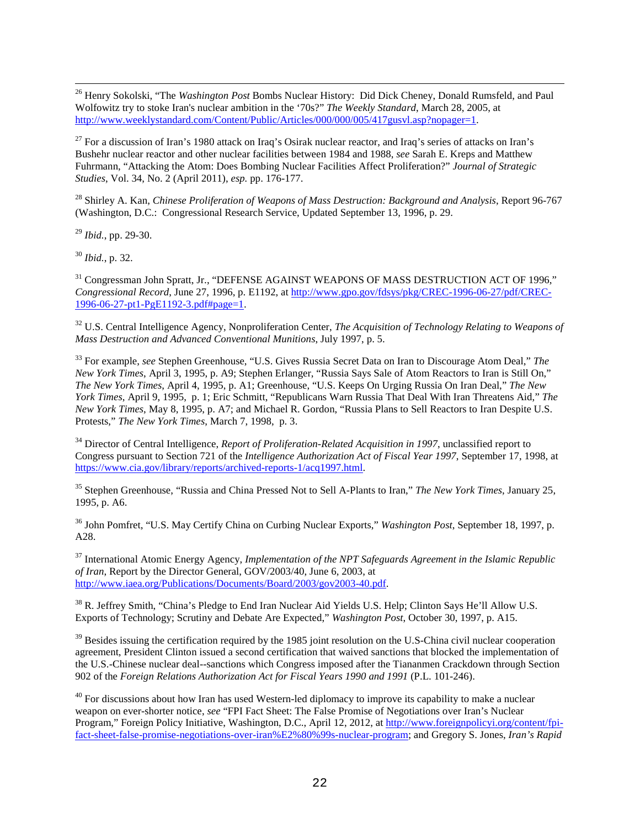<span id="page-21-0"></span> 26 Henry Sokolski, "The *Washington Post* Bombs Nuclear History: Did Dick Cheney, Donald Rumsfeld, and Paul Wolfowitz try to stoke Iran's nuclear ambition in the '70s?" *The Weekly Standard*, March 28, 2005, at [http://www.weeklystandard.com/Content/Public/Articles/000/000/005/417gusvl.asp?nopager=1.](http://www.weeklystandard.com/Content/Public/Articles/000/000/005/417gusvl.asp?nopager=1)

<span id="page-21-1"></span><sup>27</sup> For a discussion of Iran's 1980 attack on Iraq's Osirak nuclear reactor, and Iraq's series of attacks on Iran's Bushehr nuclear reactor and other nuclear facilities between 1984 and 1988, *see* Sarah E. Kreps and Matthew Fuhrmann, "Attacking the Atom: Does Bombing Nuclear Facilities Affect Proliferation?" *Journal of Strategic Studies*, Vol. 34, No. 2 (April 2011), *esp.* pp. 176-177.

<span id="page-21-2"></span><sup>28</sup> Shirley A. Kan, *Chinese Proliferation of Weapons of Mass Destruction: Background and Analysis*, Report 96-767 (Washington, D.C.: Congressional Research Service, Updated September 13, 1996, p. 29.

<span id="page-21-3"></span><sup>29</sup> *Ibid.*, pp. 29-30.

<sup>30</sup> *Ibid.*, p. 32.

<span id="page-21-4"></span><sup>31</sup> Congressman John Spratt, Jr., "DEFENSE AGAINST WEAPONS OF MASS DESTRUCTION ACT OF 1996," *Congressional Record*, June 27, 1996, p. E1192, a[t http://www.gpo.gov/fdsys/pkg/CREC-1996-06-27/pdf/CREC-](http://www.gpo.gov/fdsys/pkg/CREC-1996-06-27/pdf/CREC-1996-06-27-pt1-PgE1192-3.pdf#page=1)[1996-06-27-pt1-PgE1192-3.pdf#page=1.](http://www.gpo.gov/fdsys/pkg/CREC-1996-06-27/pdf/CREC-1996-06-27-pt1-PgE1192-3.pdf#page=1) 

<span id="page-21-5"></span><sup>32</sup> U.S. Central Intelligence Agency, Nonproliferation Center, *The Acquisition of Technology Relating to Weapons of Mass Destruction and Advanced Conventional Munitions*, July 1997, p. 5.

<span id="page-21-7"></span><span id="page-21-6"></span><sup>33</sup> For example, *see* Stephen Greenhouse, "U.S. Gives Russia Secret Data on Iran to Discourage Atom Deal," *The New York Times*, April 3, 1995, p. A9; Stephen Erlanger, "Russia Says Sale of Atom Reactors to Iran is Still On," *The New York Times*, April 4, 1995, p. A1; Greenhouse, "U.S. Keeps On Urging Russia On Iran Deal," *The New York Times*, April 9, 1995, p. 1; Eric Schmitt, "Republicans Warn Russia That Deal With Iran Threatens Aid," *The New York Times*, May 8, 1995, p. A7; and Michael R. Gordon, "Russia Plans to Sell Reactors to Iran Despite U.S. Protests," *The New York Times*, March 7, 1998, p. 3.

<span id="page-21-9"></span><span id="page-21-8"></span><sup>34</sup> Director of Central Intelligence, *Report of Proliferation-Related Acquisition in 1997*, unclassified report to Congress pursuant to Section 721 of the *Intelligence Authorization Act of Fiscal Year 1997*, September 17, 1998, at [https://www.cia.gov/library/reports/archived-reports-1/acq1997.html.](https://www.cia.gov/library/reports/archived-reports-1/acq1997.html)

<sup>35</sup> Stephen Greenhouse, "Russia and China Pressed Not to Sell A-Plants to Iran," *The New York Times*, January 25, 1995, p. A6.

<span id="page-21-10"></span><sup>36</sup> John Pomfret, "U.S. May Certify China on Curbing Nuclear Exports," *Washington Post*, September 18, 1997, p. A28.

<sup>37</sup> International Atomic Energy Agency, *Implementation of the NPT Safeguards Agreement in the Islamic Republic of Iran*, Report by the Director General, GOV/2003/40, June 6, 2003, at [http://www.iaea.org/Publications/Documents/Board/2003/gov2003-40.pdf.](http://www.iaea.org/Publications/Documents/Board/2003/gov2003-40.pdf) 

<span id="page-21-12"></span><span id="page-21-11"></span><sup>38</sup> R. Jeffrey Smith, "China's Pledge to End Iran Nuclear Aid Yields U.S. Help; Clinton Says He'll Allow U.S. Exports of Technology; Scrutiny and Debate Are Expected," *Washington Post*, October 30, 1997, p. A15.

<span id="page-21-13"></span> $39$  Besides issuing the certification required by the 1985 joint resolution on the U.S-China civil nuclear cooperation agreement, President Clinton issued a second certification that waived sanctions that blocked the implementation of the U.S.-Chinese nuclear deal--sanctions which Congress imposed after the Tiananmen Crackdown through Section 902 of the *Foreign Relations Authorization Act for Fiscal Years 1990 and 1991* (P.L. 101-246).

<span id="page-21-15"></span><span id="page-21-14"></span> $40$  For discussions about how Iran has used Western-led diplomacy to improve its capability to make a nuclear weapon on ever-shorter notice, *see* "FPI Fact Sheet: The False Promise of Negotiations over Iran's Nuclear Program," Foreign Policy Initiative, Washington, D.C., April 12, 2012, at [http://www.foreignpolicyi.org/content/fpi](http://www.foreignpolicyi.org/content/fpi-fact-sheet-false-promise-negotiations-over-iran%E2%80%99s-nuclear-program)[fact-sheet-false-promise-negotiations-over-iran%E2%80%99s-nuclear-program;](http://www.foreignpolicyi.org/content/fpi-fact-sheet-false-promise-negotiations-over-iran%E2%80%99s-nuclear-program) and Gregory S. Jones, *Iran's Rapid*